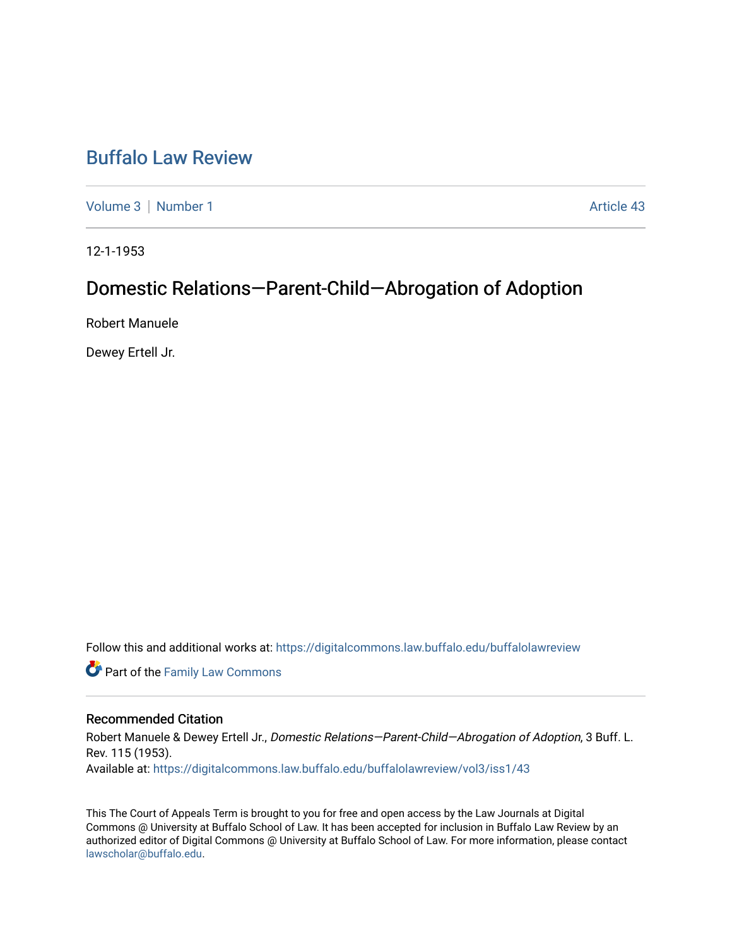# [Buffalo Law Review](https://digitalcommons.law.buffalo.edu/buffalolawreview)

[Volume 3](https://digitalcommons.law.buffalo.edu/buffalolawreview/vol3) | [Number 1](https://digitalcommons.law.buffalo.edu/buffalolawreview/vol3/iss1) Article 43

12-1-1953

## Domestic Relations—Parent-Child—Abrogation of Adoption

Robert Manuele

Dewey Ertell Jr.

Follow this and additional works at: [https://digitalcommons.law.buffalo.edu/buffalolawreview](https://digitalcommons.law.buffalo.edu/buffalolawreview?utm_source=digitalcommons.law.buffalo.edu%2Fbuffalolawreview%2Fvol3%2Fiss1%2F43&utm_medium=PDF&utm_campaign=PDFCoverPages) 

**Part of the Family Law Commons** 

### Recommended Citation

Robert Manuele & Dewey Ertell Jr., Domestic Relations-Parent-Child-Abrogation of Adoption, 3 Buff. L. Rev. 115 (1953). Available at: [https://digitalcommons.law.buffalo.edu/buffalolawreview/vol3/iss1/43](https://digitalcommons.law.buffalo.edu/buffalolawreview/vol3/iss1/43?utm_source=digitalcommons.law.buffalo.edu%2Fbuffalolawreview%2Fvol3%2Fiss1%2F43&utm_medium=PDF&utm_campaign=PDFCoverPages) 

This The Court of Appeals Term is brought to you for free and open access by the Law Journals at Digital Commons @ University at Buffalo School of Law. It has been accepted for inclusion in Buffalo Law Review by an authorized editor of Digital Commons @ University at Buffalo School of Law. For more information, please contact [lawscholar@buffalo.edu](mailto:lawscholar@buffalo.edu).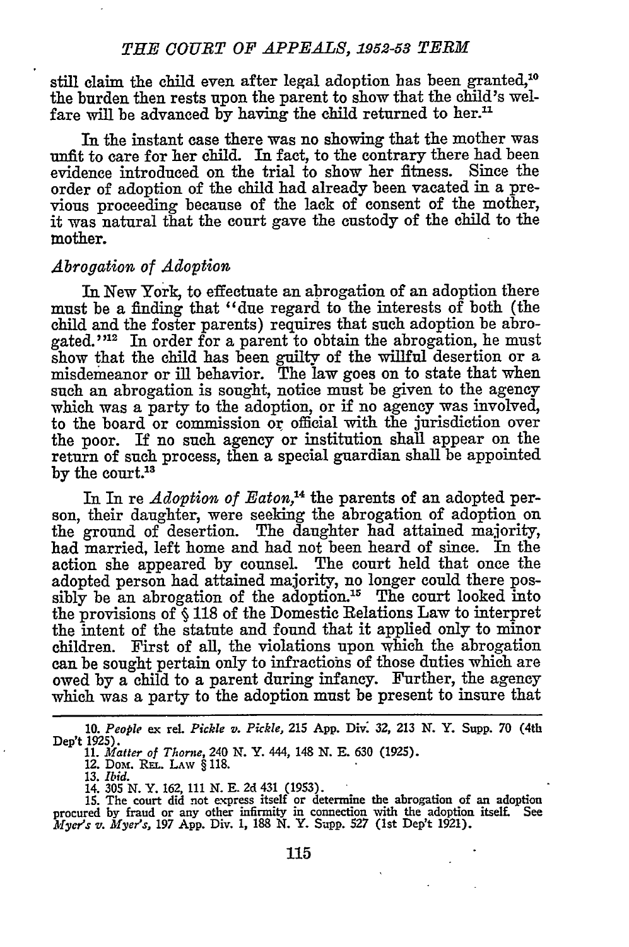still claim the child even after legal adoption has been granted,<sup>10</sup> the burden then rests upon the parent to show that the child's welfare will be advanced by having the child returned to her.<sup>11</sup>

In the instant case there was no showing that the mother was unfit to care for her child. In fact, to the contrary there had been evidence introduced on the trial to show her fitness. Since the order of adoption of the child had already been vacated in a previous proceeding because of the lack of consent of the mother, it was natural that the court gave the custody of the child to the mother.

#### *Abrogation of Adoption*

In New York, to effectuate an abrogation of an adoption there must be a finding that "due regard to the interests of both (the child and the foster parents) requires that such adoption be abrogated."<sup>12</sup> In order for a parent to obtain the abrogation, he must show that the child has been guilty of the willful desertion or a misdemeanor or ill behavior. The law goes on to state that when such an abrogation is sought, notice must be given to the agency which was a party to the adoption, or if no agency was involved, to the board or commission or official with the jurisdiction over the poor. If no such agency or institution shall appear on the return of such process, then a special guardian shall be appointed by the court.<sup>13</sup>

In In re *Adoption of Eaton*,<sup>14</sup> the parents of an adopted person, their daughter, were seeking the abrogation of adoption on the ground of desertion. The daughter had attained majority, had married, left home and had not been heard of since. In the action she appeared by counsel. The court held that once the adopted person had attained majority, no longer could there possibly be an abrogation of the adoption.<sup>15</sup> The court looked into the provisions of **§** 118 of the Domestic Relations Law to interpret the intent of the statute and found that it applied only to minor children. First of all, the violations upon which the abrogation can be sought pertain only to infractions of those duties which are owed by a child to a parent during infancy. Further, the agency which was a party to the adoption must be present to insure that

**13.** *Ibid.*

**<sup>10.</sup>** *People* ex rel. *Pickle v. Pickle,* **215** App. Div: 32, 213 **N.** Y. Supp. 70 (4th Dep't 1925).

**<sup>11.</sup>** *Matter of Thorne, 240* **N.** Y. 444, 148 **N. E.** 630 (1925). 12. Dot. REL. LAW § 118.

<sup>14.</sup> 305 **N.** Y. 162, 111 **N. E.** 2d 431 (1953). **15.** The court did not express itself or determine the abrogation of an adoption procured by fraud or any other infirmity in connection with the adoption itself. See *Myer's v. Myers,* 197 App. Div. 1, **188 N.** Y. Supp. 527 (1st Dep't 1921).